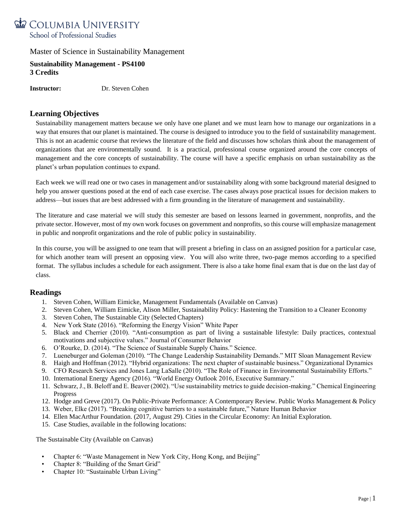

**Sustainability Management - PS4100 3 Credits**

**Instructor:** Dr. Steven Cohen

# **Learning Objectives**

Sustainability management matters because we only have one planet and we must learn how to manage our organizations in a way that ensures that our planet is maintained. The course is designed to introduce you to the field of sustainability management. This is not an academic course that reviews the literature of the field and discusses how scholars think about the management of organizations that are environmentally sound. It is a practical, professional course organized around the core concepts of management and the core concepts of sustainability. The course will have a specific emphasis on urban sustainability as the planet's urban population continues to expand.

Each week we will read one or two cases in management and/or sustainability along with some background material designed to help you answer questions posed at the end of each case exercise. The cases always pose practical issues for decision makers to address—but issues that are best addressed with a firm grounding in the literature of management and sustainability.

The literature and case material we will study this semester are based on lessons learned in government, nonprofits, and the private sector. However, most of my own work focuses on government and nonprofits, so this course will emphasize management in public and nonprofit organizations and the role of public policy in sustainability.

In this course, you will be assigned to one team that will present a briefing in class on an assigned position for a particular case, for which another team will present an opposing view. You will also write three, two-page memos according to a specified format. The syllabus includes a schedule for each assignment. There is also a take home final exam that is due on the last day of class.

# **Readings**

- 1. Steven Cohen, William Eimicke, Management Fundamentals (Available on Canvas)
- 2. Steven Cohen, William Eimicke, Alison Miller, Sustainability Policy: Hastening the Transition to a Cleaner Economy
- 3. Steven Cohen, The Sustainable City (Selected Chapters)
- 4. New York State (2016). "Reforming the Energy Vision" White Paper
- 5. Black and Cherrier (2010). "Anti-consumption as part of living a sustainable lifestyle: Daily practices, contextual motivations and subjective values." Journal of Consumer Behavior
- 6. O'Rourke, D. (2014). "The Science of Sustainable Supply Chains." Science.
- 7. Lueneburger and Goleman (2010). "The Change Leadership Sustainability Demands." MIT Sloan Management Review
- 8. Haigh and Hoffman (2012). "Hybrid organizations: The next chapter of sustainable business." Organizational Dynamics
- 9. CFO Research Services and Jones Lang LaSalle (2010). "The Role of Finance in Environmental Sustainability Efforts."
- 10. International Energy Agency (2016). "World Energy Outlook 2016, Executive Summary."
- 11. Schwarz, J., B. Beloff and E. Beaver (2002). "Use sustainability metrics to guide decision-making." Chemical Engineering Progress
- 12. Hodge and Greve (2017). On Public-Private Performance: A Contemporary Review. Public Works Management & Policy
- 13. Weber, Elke (2017). "Breaking cognitive barriers to a sustainable future," Nature Human Behavior
- 14. Ellen MacArthur Foundation. (2017, August 29). Cities in the Circular Economy: An Initial Exploration.
- 15. Case Studies, available in the following locations:

The Sustainable City (Available on Canvas)

- Chapter 6: "Waste Management in New York City, Hong Kong, and Beijing"
- Chapter 8: "Building of the Smart Grid"
- Chapter 10: "Sustainable Urban Living"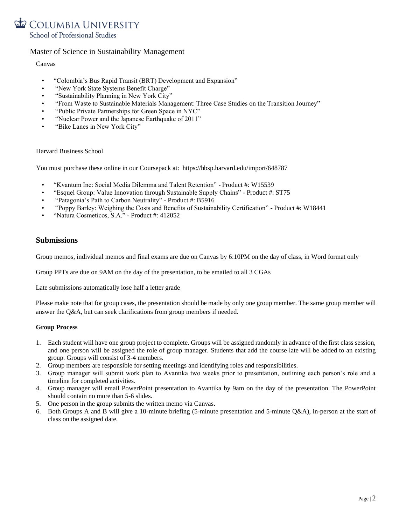# COLUMBIA UNIVERSITY School of Professional Studies

# Master of Science in Sustainability Management

## Canvas

- "Colombia's Bus Rapid Transit (BRT) Development and Expansion"
- "New York State Systems Benefit Charge"
- "Sustainability Planning in New York City"
- "From Waste to Sustainable Materials Management: Three Case Studies on the Transition Journey"
- "Public Private Partnerships for Green Space in NYC"
- "Nuclear Power and the Japanese Earthquake of 2011"
- "Bike Lanes in New York City"

## Harvard Business School

You must purchase these online in our Coursepack at: https://hbsp.harvard.edu/import/648787

- "Kvantum Inc: Social Media Dilemma and Talent Retention" Product #: W15539
- "Esquel Group: Value Innovation through Sustainable Supply Chains" Product #: ST75
- "Patagonia's Path to Carbon Neutrality" Product #: B5916
- "Poppy Barley: Weighing the Costs and Benefits of Sustainability Certification" Product #: W18441
- "Natura Cosmeticos, S.A." Product #: 412052

# **Submissions**

Group memos, individual memos and final exams are due on Canvas by 6:10PM on the day of class, in Word format only

Group PPTs are due on 9AM on the day of the presentation, to be emailed to all 3 CGAs

Late submissions automatically lose half a letter grade

Please make note that for group cases, the presentation should be made by only one group member. The same group member will answer the Q&A, but can seek clarifications from group members if needed.

## **Group Process**

- 1. Each student will have one group project to complete. Groups will be assigned randomly in advance of the first class session, and one person will be assigned the role of group manager. Students that add the course late will be added to an existing group. Groups will consist of 3-4 members.
- 2. Group members are responsible for setting meetings and identifying roles and responsibilities.
- 3. Group manager will submit work plan to Avantika two weeks prior to presentation, outlining each person's role and a timeline for completed activities.
- 4. Group manager will email PowerPoint presentation to Avantika by 9am on the day of the presentation. The PowerPoint should contain no more than 5-6 slides.
- 5. One person in the group submits the written memo via Canvas.
- 6. Both Groups A and B will give a 10-minute briefing (5-minute presentation and 5-minute Q&A), in-person at the start of class on the assigned date.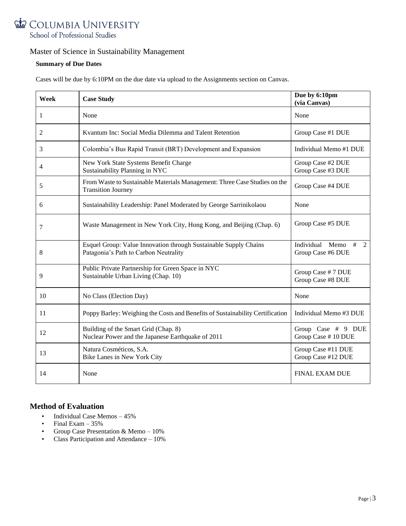

## **Summary of Due Dates**

Cases will be due by 6:10PM on the due date via upload to the Assignments section on Canvas.

| Week | <b>Case Study</b>                                                                                         | Due by 6:10pm<br>(via Canvas)                                 |
|------|-----------------------------------------------------------------------------------------------------------|---------------------------------------------------------------|
| 1    | None                                                                                                      | None                                                          |
| 2    | Kvantum Inc: Social Media Dilemma and Talent Retention                                                    | Group Case #1 DUE                                             |
| 3    | Colombia's Bus Rapid Transit (BRT) Development and Expansion                                              | Individual Memo #1 DUE                                        |
| 4    | New York State Systems Benefit Charge<br>Sustainability Planning in NYC                                   | Group Case #2 DUE<br>Group Case #3 DUE                        |
| 5    | From Waste to Sustainable Materials Management: Three Case Studies on the<br><b>Transition Journey</b>    | Group Case #4 DUE                                             |
| 6    | Sustainability Leadership: Panel Moderated by George Sarrinikolaou                                        | None                                                          |
| 7    | Waste Management in New York City, Hong Kong, and Beijing (Chap. 6)                                       | Group Case #5 DUE                                             |
| 8    | Esquel Group: Value Innovation through Sustainable Supply Chains<br>Patagonia's Path to Carbon Neutrality | Individual<br>Memo<br>#<br>$\mathcal{L}$<br>Group Case #6 DUE |
| 9    | Public Private Partnership for Green Space in NYC<br>Sustainable Urban Living (Chap. 10)                  | Group Case #7 DUE<br>Group Case #8 DUE                        |
| 10   | No Class (Election Day)                                                                                   | None                                                          |
| 11   | Poppy Barley: Weighing the Costs and Benefits of Sustainability Certification                             | Individual Memo #3 DUE                                        |
| 12   | Building of the Smart Grid (Chap. 8)<br>Nuclear Power and the Japanese Earthquake of 2011                 | Group Case # 9 DUE<br>Group Case #10 DUE                      |
| 13   | Natura Cosméticos, S.A.<br>Bike Lanes in New York City                                                    | Group Case #11 DUE<br>Group Case #12 DUE                      |
| 14   | None                                                                                                      | <b>FINAL EXAM DUE</b>                                         |

# **Method of Evaluation**

- Individual Case Memos 45%
- Final Exam  $-35%$
- Group Case Presentation & Memo  $10\%$ <br>• Class Participation and Attendance  $10\%$
- Class Participation and Attendance 10%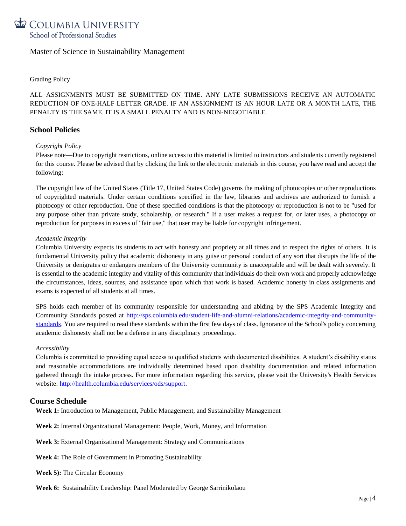

## Grading Policy

ALL ASSIGNMENTS MUST BE SUBMITTED ON TIME. ANY LATE SUBMISSIONS RECEIVE AN AUTOMATIC REDUCTION OF ONE-HALF LETTER GRADE. IF AN ASSIGNMENT IS AN HOUR LATE OR A MONTH LATE, THE PENALTY IS THE SAME. IT IS A SMALL PENALTY AND IS NON-NEGOTIABLE.

## **School Policies**

## *Copyright Policy*

Please note—Due to copyright restrictions, online access to this material is limited to instructors and students currently registered for this course. Please be advised that by clicking the link to the electronic materials in this course, you have read and accept the following:

The copyright law of the United States (Title 17, United States Code) governs the making of photocopies or other reproductions of copyrighted materials. Under certain conditions specified in the law, libraries and archives are authorized to furnish a photocopy or other reproduction. One of these specified conditions is that the photocopy or reproduction is not to be "used for any purpose other than private study, scholarship, or research." If a user makes a request for, or later uses, a photocopy or reproduction for purposes in excess of "fair use," that user may be liable for copyright infringement.

#### *Academic Integrity*

Columbia University expects its students to act with honesty and propriety at all times and to respect the rights of others. It is fundamental University policy that academic dishonesty in any guise or personal conduct of any sort that disrupts the life of the University or denigrates or endangers members of the University community is unacceptable and will be dealt with severely. It is essential to the academic integrity and vitality of this community that individuals do their own work and properly acknowledge the circumstances, ideas, sources, and assistance upon which that work is based. Academic honesty in class assignments and exams is expected of all students at all times.

SPS holds each member of its community responsible for understanding and abiding by the SPS Academic Integrity and Community Standards posted at [http://sps.columbia.edu/student-life-and-alumni-relations/academic-integrity-and-community](http://sps.columbia.edu/student-life-and-alumni-relations/academic-integrity-and-community-standards)[standards.](http://sps.columbia.edu/student-life-and-alumni-relations/academic-integrity-and-community-standards) You are required to read these standards within the first few days of class. Ignorance of the School's policy concerning academic dishonesty shall not be a defense in any disciplinary proceedings.

#### *Accessibility*

Columbia is committed to providing equal access to qualified students with documented disabilities. A student's disability status and reasonable accommodations are individually determined based upon disability documentation and related information gathered through the intake process. For more information regarding this service, please visit the University's Health Services website: [http://health.columbia.edu/services/ods/support.](http://health.columbia.edu/services/ods/support)

## **Course Schedule**

**Week 1:** Introduction to Management, Public Management, and Sustainability Management

**Week 2:** Internal Organizational Management: People, Work, Money, and Information

- **Week 3:** External Organizational Management: Strategy and Communications
- **Week 4:** The Role of Government in Promoting Sustainability
- **Week 5):** The Circular Economy
- **Week 6:** Sustainability Leadership: Panel Moderated by George Sarrinikolaou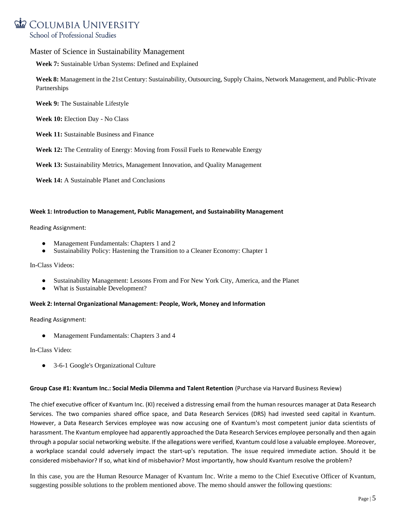# COLUMBIA UNIVERSITY School of Professional Studies

## Master of Science in Sustainability Management

**Week 7:** Sustainable Urban Systems: Defined and Explained

**Week 8:** Management in the 21st Century: Sustainability, Outsourcing, Supply Chains, Network Management, and Public-Private Partnerships

**Week 9:** The Sustainable Lifestyle

**Week 10:** Election Day - No Class

**Week 11:** Sustainable Business and Finance

**Week 12:** The Centrality of Energy: Moving from Fossil Fuels to Renewable Energy

**Week 13:** Sustainability Metrics, Management Innovation, and Quality Management

**Week 14:** A Sustainable Planet and Conclusions

#### **Week 1: Introduction to Management, Public Management, and Sustainability Management**

#### Reading Assignment:

- Management Fundamentals: Chapters 1 and 2
- Sustainability Policy: Hastening the Transition to a Cleaner Economy: Chapter 1

In-Class Videos:

- [Sustainability Management: Lessons From and For New York City, America, and the Planet](https://vimeo.com/22496839)
- [What is Sustainable Development?](https://www.youtube.com/watch?v=7V8oFI4GYMY)

#### **Week 2: Internal Organizational Management: People, Work, Money and Information**

Reading Assignment:

Management Fundamentals: Chapters 3 and 4

In-Class Video:

● [3-6-1 Google's Organizational Culture](https://www.youtube.com/watch?v=f_R3XG7s2hw)

#### **Group Case #1: Kvantum Inc.: Social Media Dilemma and Talent Retention** (Purchase via Harvard Business Review)

The chief executive officer of Kvantum Inc. (KI) received a distressing email from the human resources manager at Data Research Services. The two companies shared office space, and Data Research Services (DRS) had invested seed capital in Kvantum. However, a Data Research Services employee was now accusing one of Kvantum's most competent junior data scientists of harassment. The Kvantum employee had apparently approached the Data Research Services employee personally and then again through a popular social networking website. If the allegations were verified, Kvantum could lose a valuable employee. Moreover, a workplace scandal could adversely impact the start-up's reputation. The issue required immediate action. Should it be considered misbehavior? If so, what kind of misbehavior? Most importantly, how should Kvantum resolve the problem?

In this case, you are the Human Resource Manager of Kvantum Inc. Write a memo to the Chief Executive Officer of Kvantum, suggesting possible solutions to the problem mentioned above. The memo should answer the following questions: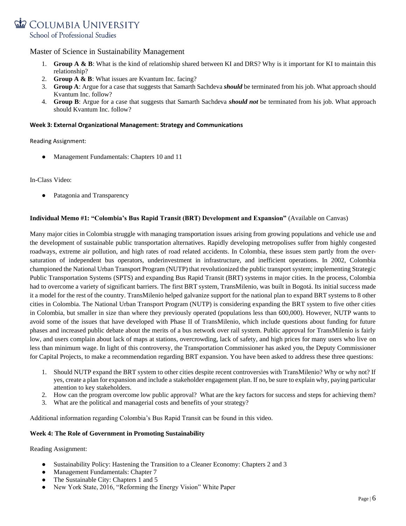

- 1. **Group A & B**: What is the kind of relationship shared between KI and DRS? Why is it important for KI to maintain this relationship?
- 2. **Group A & B**: What issues are Kvantum Inc. facing?
- 3. **Group A**: Argue for a case that suggests that Samarth Sachdeva *should* be terminated from his job. What approach should Kvantum Inc. follow?
- 4. **Group B**: Argue for a case that suggests that Samarth Sachdeva *should not* be terminated from his job. What approach should Kvantum Inc. follow?

#### **Week 3: External Organizational Management: Strategy and Communications**

Reading Assignment:

Management Fundamentals: Chapters 10 and 11

In-Class Video:

Patagonia and Transparency

## **Individual Memo #1: "Colombia's Bus Rapid Transit (BRT) Development and Expansion"** (Available on Canvas)

Many major cities in Colombia struggle with managing transportation issues arising from growing populations and vehicle use and the development of sustainable public transportation alternatives. Rapidly developing metropolises suffer from highly congested roadways, extreme air pollution, and high rates of road related accidents. In Colombia, these issues stem partly from the oversaturation of independent bus operators, underinvestment in infrastructure, and inefficient operations. In 2002, Colombia championed the National Urban Transport Program (NUTP) that revolutionized the public transport system; implementing Strategic Public Transportation Systems (SPTS) and expanding Bus Rapid Transit (BRT) systems in major cities. In the process, Colombia had to overcome a variety of significant barriers. The first BRT system, TransMilenio, was built in Bogotá. Its initial success made it a model for the rest of the country. TransMilenio helped galvanize support for the national plan to expand BRT systems to 8 other cities in Colombia. The National Urban Transport Program (NUTP) is considering expanding the BRT system to five other cities in Colombia, but smaller in size than where they previously operated (populations less than 600,000). However, NUTP wants to avoid some of the issues that have developed with Phase II of TransMilenio, which include questions about funding for future phases and increased public debate about the merits of a bus network over rail system. Public approval for TransMilenio is fairly low, and users complain about lack of maps at stations, overcrowding, lack of safety, and high prices for many users who live on less than minimum wage. In light of this controversy, the Transportation Commissioner has asked you, the Deputy Commissioner for Capital Projects, to make a recommendation regarding BRT expansion. You have been asked to address these three questions:

- 1. Should NUTP expand the BRT system to other cities despite recent controversies with TransMilenio? Why or why not? If yes, create a plan for expansion and include a stakeholder engagement plan. If no, be sure to explain why, paying particular attention to key stakeholders.
- 2. How can the program overcome low public approval? What are the key factors for success and steps for achieving them?
- 3. What are the political and managerial costs and benefits of your strategy?

Additional information regarding Colombia's Bus Rapid Transit can be found in thi[s video.](https://www.youtube.com/watch?v=tCH16Cp7S9s)

#### **Week 4: The Role of Government in Promoting Sustainability**

Reading Assignment:

- Sustainability Policy: Hastening the Transition to a Cleaner Economy: Chapters 2 and 3
- Management Fundamentals: Chapter 7
- The Sustainable City: Chapters 1 and 5
- New York State, 2016, ["Reforming the Energy Vision" White Paper](https://www.ny.gov/sites/ny.gov/files/atoms/files/WhitePaperREVMarch2016.pdf)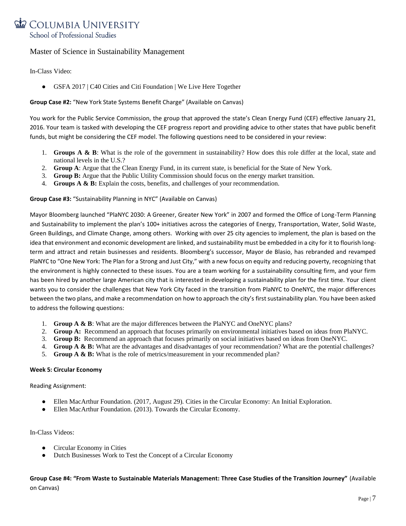

In-Class Video:

• [GSFA 2017 | C40 Cities and Citi Foundation | We Live Here Together](https://www.youtube.com/watch?v=n4tvYmnG0wU&feature=youtu.be)

## **Group Case #2:** "New York State Systems Benefit Charge" (Available on Canvas)

You work for the Public Service Commission, the group that approved the state's Clean Energy Fund (CEF) effective January 21, 2016. Your team is tasked with developing the CEF progress report and providing advice to other states that have public benefit funds, but might be considering the CEF model. The following questions need to be considered in your review:

- 1. **Groups A & B**: What is the role of the government in sustainability? How does this role differ at the local, state and national levels in the U.S.?
- 2. **Group A**: Argue that the Clean Energy Fund, in its current state, is beneficial for the State of New York.
- 3. **Group B:** Argue that the Public Utility Commission should focus on the energy market transition.
- 4. **Groups A & B:** Explain the costs, benefits, and challenges of your recommendation.

**Group Case #3:** "Sustainability Planning in NYC" (Available on Canvas)

Mayor Bloomberg launched "PlaNYC 2030: A Greener, Greater New York" in 2007 and formed the Office of Long-Term Planning and Sustainability to implement the plan's 100+ initiatives across the categories of Energy, Transportation, Water, Solid Waste, Green Buildings, and Climate Change, among others. Working with over 25 city agencies to implement, the plan is based on the idea that environment and economic development are linked, and sustainability must be embedded in a city for it to flourish longterm and attract and retain businesses and residents. Bloomberg's successor, Mayor de Blasio, has rebranded and revamped PlaNYC to "One New York: The Plan for a Strong and Just City," with a new focus on equity and reducing poverty, recognizing that the environment is highly connected to these issues. You are a team working for a sustainability consulting firm, and your firm has been hired by another large American city that is interested in developing a sustainability plan for the first time. Your client wants you to consider the challenges that New York City faced in the transition from PlaNYC to OneNYC, the major differences between the two plans, and make a recommendation on how to approach the city's first sustainability plan. You have been asked to address the following questions:

- 1. **Group A & B**: What are the major differences between the PlaNYC and OneNYC plans?
- 2. **Group A:** Recommend an approach that focuses primarily on environmental initiatives based on ideas from PlaNYC.
- 3. **Group B:** Recommend an approach that focuses primarily on social initiatives based on ideas from OneNYC.
- 4. **Group A & B:** What are the advantages and disadvantages of your recommendation? What are the potential challenges?
- 5. **Group A & B:** What is the role of metrics/measurement in your recommended plan?

#### **Week 5: Circular Economy**

Reading Assignment:

- Ellen MacArthur Foundation. (2017, August 29). [Cities in the Circular Economy: An Initial Exploration.](https://www.ellenmacarthurfoundation.org/assets/downloads/publications/Cities-in-the-CE_An-Initial-Exploration.pdf)
- Ellen MacArthur Foundation. (2013). Towards the Circular Economy.

In-Class Videos:

- [Circular Economy in Cities](https://www.youtube.com/watch?v=lNd5dZE3MQ8)
- Dutch Businesses Work to Test the Concept of a Circular Economy

**Group Case #4: "From Waste to Sustainable Materials Management: Three Case Studies of the Transition Journey"** (Available on Canvas)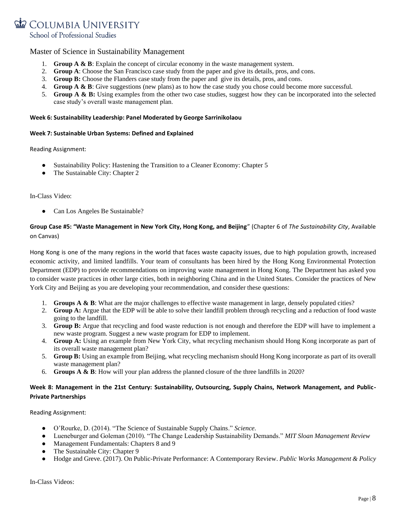

- 1. **Group A & B**: Explain the concept of circular economy in the waste management system.
- 2. **Group A**: Choose the San Francisco case study from the paper and give its details, pros, and cons.
- 3. **Group B:** Choose the Flanders case study from the paper and give its details, pros, and cons.
- 4. **Group A & B**: Give suggestions (new plans) as to how the case study you chose could become more successful.
- 5. **Group A & B:** Using examples from the other two case studies, suggest how they can be incorporated into the selected case study's overall waste management plan.

#### **Week 6: Sustainability Leadership: Panel Moderated by George Sarrinikolaou**

#### **Week 7: Sustainable Urban Systems: Defined and Explained**

Reading Assignment:

- Sustainability Policy: Hastening the Transition to a Cleaner Economy: Chapter 5
- The Sustainable City: Chapter 2

In-Class Video:

● [Can Los Angeles Be Sustainable?](https://youtu.be/nAoZ9U2W-DM)

# **Group Case #5: "Waste Management in New York City, Hong Kong, and Beijing**" (Chapter 6 of *The Sustainability City*, Available on Canvas)

Hong Kong is one of the many regions in the world that faces waste capacity issues, due to high population growth, increased economic activity, and limited landfills. Your team of consultants has been hired by the Hong Kong Environmental Protection Department (EDP) to provide recommendations on improving waste management in Hong Kong. The Department has asked you to consider waste practices in other large cities, both in neighboring China and in the United States. Consider the practices of New York City and Beijing as you are developing your recommendation, and consider these questions:

- 1. **Groups A & B**: What are the major challenges to effective waste management in large, densely populated cities?
- 2. **Group A:** Argue that the EDP will be able to solve their landfill problem through recycling and a reduction of food waste going to the landfill.
- 3. **Group B:** Argue that recycling and food waste reduction is not enough and therefore the EDP will have to implement a new waste program. Suggest a new waste program for EDP to implement.
- 4. **Group A:** Using an example from New York City, what recycling mechanism should Hong Kong incorporate as part of its overall waste management plan?
- 5. **Group B:** Using an example from Beijing, what recycling mechanism should Hong Kong incorporate as part of its overall waste management plan?
- 6. **Groups A & B**: How will your plan address the planned closure of the three landfills in 2020?

## **Week 8: Management in the 21st Century: Sustainability, Outsourcing, Supply Chains, Network Management, and Public-Private Partnerships**

Reading Assignment:

- O'Rourke, D. (2014). ["The Science of Sustainable Supply Chains.](http://www.sciencemag.org/content/344/6188/1124.full.pdf?sid=0960aab4-9569-4b0c-baf0-1603d9642c0e)" *Science.*
- Lueneburger and Goleman (2010). ["The Change Leadership Sustainability Demands."](http://sloanreview.mit.edu/article/the-change-leadership-sustainability-demands/) *MIT Sloan Management Review*
- Management Fundamentals: Chapters 8 and 9
- The Sustainable City: Chapter 9
- Hodge and Greve. (2017). [On Public-Private Performance: A Contemporary Review.](http://journals.sagepub.com/doi/pdf/10.1177/1087724X16657830) *Public Works Management & Policy*

In-Class Videos: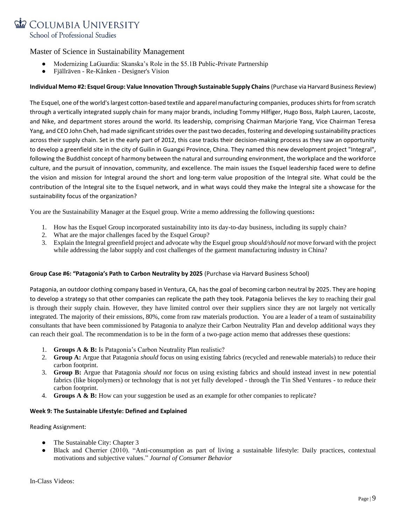

- [Modernizing LaGuardia: Skanska's Role in the \\$5.1B Public-Private Partnership](https://www.youtube.com/watch?v=xAXju9NFmJ8)
- Fjällräven Re-Kånken [Designer's Vision](https://www.youtube.com/watch?v=s7nRBa4rkTc)

## **Individual Memo #2: Esquel Group: Value Innovation Through Sustainable Supply Chains** (Purchase via Harvard Business Review)

The Esquel, one of the world's largest cotton-based textile and apparel manufacturing companies, produces shirts for from scratch through a vertically integrated supply chain for many major brands, including Tommy Hilfiger, Hugo Boss, Ralph Lauren, Lacoste, and Nike, and department stores around the world. Its leadership, comprising Chairman Marjorie Yang, Vice Chairman Teresa Yang, and CEO John Cheh, had made significant strides over the past two decades, fostering and developing sustainability practices across their supply chain. Set in the early part of 2012, this case tracks their decision-making process as they saw an opportunity to develop a greenfield site in the city of Guilin in Guangxi Province, China. They named this new development project "Integral", following the Buddhist concept of harmony between the natural and surrounding environment, the workplace and the workforce culture, and the pursuit of innovation, community, and excellence. The main issues the Esquel leadership faced were to define the vision and mission for Integral around the short and long-term value proposition of the Integral site. What could be the contribution of the Integral site to the Esquel network, and in what ways could they make the Integral site a showcase for the sustainability focus of the organization?

You are the Sustainability Manager at the Esquel group. Write a memo addressing the following questions**:**

- 1. How has the Esquel Group incorporated sustainability into its day-to-day business, including its supply chain?
- 2. What are the major challenges faced by the Esquel Group?
- 3. Explain the Integral greenfield project and advocate why the Esquel group *should/should not* move forward with the project while addressing the labor supply and cost challenges of the garment manufacturing industry in China?

#### **Group Case #6: "Patagonia's Path to Carbon Neutrality by 2025** (Purchase via Harvard Business School)

Patagonia, an outdoor clothing company based in Ventura, CA, has the goal of becoming carbon neutral by 2025. They are hoping to develop a strategy so that other companies can replicate the path they took. Patagonia believes the key to reaching their goal is through their supply chain. However, they have limited control over their suppliers since they are not largely not vertically integrated. The majority of their emissions, 80%, come from raw materials production. You are a leader of a team of sustainability consultants that have been commissioned by Patagonia to analyze their Carbon Neutrality Plan and develop additional ways they can reach their goal. The recommendation is to be in the form of a two-page action memo that addresses these questions:

- 1. **Groups A & B:** Is Patagonia's Carbon Neutrality Plan realistic?
- 2. **Group A:** Argue that Patagonia *should* focus on using existing fabrics (recycled and renewable materials) to reduce their carbon footprint.
- 3. **Group B:** Argue that Patagonia *should not* focus on using existing fabrics and should instead invest in new potential fabrics (like biopolymers) or technology that is not yet fully developed - through the Tin Shed Ventures - to reduce their carbon footprint.
- 4. **Groups A & B:** How can your suggestion be used as an example for other companies to replicate?

#### **Week 9: The Sustainable Lifestyle: Defined and Explained**

Reading Assignment:

- The Sustainable City: Chapter 3
- Black and Cherrier (2010). "Anti-consumption as part of living a sustainable lifestyle: Daily practices, contextual [motivations and subjective values.](http://onlinelibrary.wiley.com/doi/10.1002/cb.337/epdf)" *Journal of Consumer Behavior*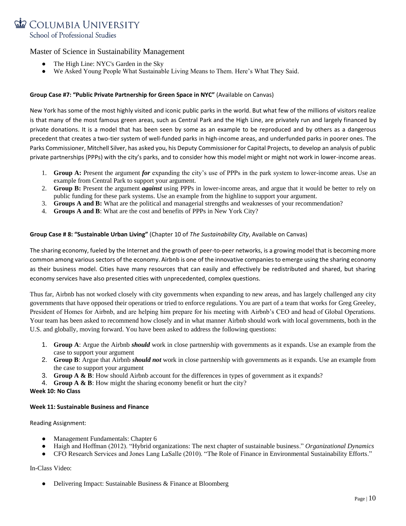

- [The High Line: NYC's Garden in the Sky](https://www.youtube.com/watch?v=2HRW7j70tt8)
- [We Asked Young People What Sustainable Living Means to Them. Here's What They Said.](https://www.un.org/sustainabledevelopment/blog/2016/02/we-asked-young-people-what-sustainable-living-means-to-them-heres-what-they-said/)

## **Group Case #7: "Public Private Partnership for Green Space in NYC"** (Available on Canvas)

New York has some of the most highly visited and iconic public parks in the world. But what few of the millions of visitors realize is that many of the most famous green areas, such as Central Park and the High Line, are privately run and largely financed by private donations. It is a model that has been seen by some as an example to be reproduced and by others as a dangerous precedent that creates a two-tier system of well-funded parks in high-income areas, and underfunded parks in poorer ones. The Parks Commissioner, Mitchell Silver, has asked you, his Deputy Commissioner for Capital Projects, to develop an analysis of public private partnerships (PPPs) with the city's parks, and to consider how this model might or might not work in lower-income areas.

- 1. **Group A:** Present the argument *for* expanding the city's use of PPPs in the park system to lower-income areas. Use an example from Central Park to support your argument.
- 2. **Group B:** Present the argument *against* using PPPs in lower-income areas, and argue that it would be better to rely on public funding for these park systems. Use an example from the highline to support your argument.
- 3. **Groups A and B:** What are the political and managerial strengths and weaknesses of your recommendation?
- 4. **Groups A and B**: What are the cost and benefits of PPPs in New York City?

## **Group Case # 8: "Sustainable Urban Living"** (Chapter 10 of *The Sustainability City*, Available on Canvas)

The sharing economy, fueled by the Internet and the growth of peer-to-peer networks, is a growing model that is becoming more common among various sectors of the economy. Airbnb is one of the innovative companies to emerge using the sharing economy as their business model. Cities have many resources that can easily and effectively be redistributed and shared, but sharing economy services have also presented cities with unprecedented, complex questions.

Thus far, Airbnb has not worked closely with city governments when expanding to new areas, and has largely challenged any city governments that have opposed their operations or tried to enforce regulations. You are part of a team that works for Greg Greeley, President of Homes for Airbnb, and are helping him prepare for his meeting with Airbnb's CEO and head of Global Operations. Your team has been asked to recommend how closely and in what manner Airbnb should work with local governments, both in the U.S. and globally, moving forward. You have been asked to address the following questions:

- 1. **Group A**: Argue the Airbnb *should* work in close partnership with governments as it expands. Use an example from the case to support your argument
- 2. **Group B**: Argue that Airbnb *should not* work in close partnership with governments as it expands. Use an example from the case to support your argument
- 3. **Group A & B**: How should Airbnb account for the differences in types of government as it expands?
- 4. **Group A & B**: How might the sharing economy benefit or hurt the city?

**Week 10: No Class**

#### **Week 11: Sustainable Business and Finance**

Reading Assignment:

- Management Fundamentals: Chapter 6
- Haigh and Hoffman (2012). ["Hybrid organizations: The next chapter of sustainable business.](http://academiab.org/wp-content/uploads/2015/01/Hybrid-organizations_Organizational-Dynamics.pdf)" *Organizational Dynamics*
- CFO Research Services and Jones Lang LaSalle (2010). ["The Role of Finance in Environmental Sustainability Efforts.](http://www.greenprof.org/wp-content/uploads/2010/04/Role-of-Finance-in-Environmental-Sustainability.pdf)"

In-Class Video:

• [Delivering Impact: Sustainable Business & Finance at Bloomberg](https://www.youtube.com/watch?v=tuz9Teron5w)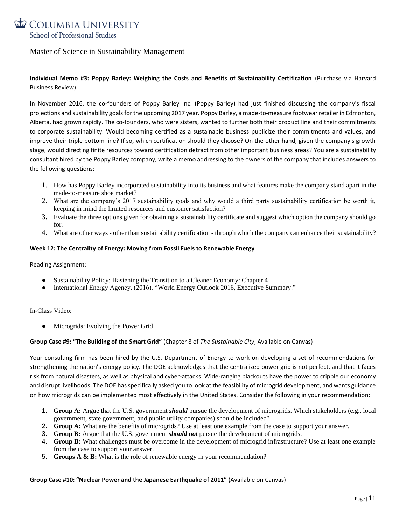

# **Individual Memo #3: Poppy Barley: Weighing the Costs and Benefits of Sustainability Certification** (Purchase via Harvard Business Review)

In November 2016, the co-founders of Poppy Barley Inc. (Poppy Barley) had just finished discussing the company's fiscal projections and sustainability goals for the upcoming 2017 year. Poppy Barley, a made-to-measure footwear retailer in Edmonton, Alberta, had grown rapidly. The co-founders, who were sisters, wanted to further both their product line and their commitments to corporate sustainability. Would becoming certified as a sustainable business publicize their commitments and values, and improve their triple bottom line? If so, which certification should they choose? On the other hand, given the company's growth stage, would directing finite resources toward certification detract from other important business areas? You are a sustainability consultant hired by the Poppy Barley company, write a memo addressing to the owners of the company that includes answers to the following questions:

- 1. How has Poppy Barley incorporated sustainability into its business and what features make the company stand apart in the made-to-measure shoe market?
- 2. What are the company's 2017 sustainability goals and why would a third party sustainability certification be worth it, keeping in mind the limited resources and customer satisfaction?
- 3. Evaluate the three options given for obtaining a sustainability certificate and suggest which option the company should go for.
- 4. What are other ways other than sustainability certification through which the company can enhance their sustainability?

## **Week 12: The Centrality of Energy: Moving from Fossil Fuels to Renewable Energy**

Reading Assignment:

- Sustainability Policy: Hastening the Transition to a Cleaner Economy: Chapter 4
- International Energy Agency. (2016). ["World Energy Outlook 2016, Executive Summary.](https://www.iea.org/publications/freepublications/publication/WorldEnergyOutlook2016ExecutiveSummaryEnglish.pdf)"

## In-Class Video:

• [Microgrids: Evolving the Power Grid](https://www.youtube.com/watch?v=cVuQsskKlTk)

## **Group Case #9: "The Building of the Smart Grid"** (Chapter 8 of *The Sustainable City*, Available on Canvas)

Your consulting firm has been hired by the U.S. Department of Energy to work on developing a set of recommendations for strengthening the nation's energy policy. The DOE acknowledges that the centralized power grid is not perfect, and that it faces risk from natural disasters, as well as physical and cyber-attacks. Wide-ranging blackouts have the power to cripple our economy and disrupt livelihoods. The DOE has specifically asked you to look at the feasibility of microgrid development, and wants guidance on how microgrids can be implemented most effectively in the United States. Consider the following in your recommendation:

- 1. **Group A:** Argue that the U.S. government *should* pursue the development of microgrids. Which stakeholders (e.g., local government, state government, and public utility companies) should be included?
- 2. **Group A:** What are the benefits of microgrids? Use at least one example from the case to support your answer.
- 3. **Group B:** Argue that the U.S. government *should not* pursue the development of microgrids.
- 4. **Group B:** What challenges must be overcome in the development of microgrid infrastructure? Use at least one example from the case to support your answer.
- 5. **Groups A & B:** What is the role of renewable energy in your recommendation?

#### **Group Case #10: "Nuclear Power and the Japanese Earthquake of 2011"** (Available on Canvas)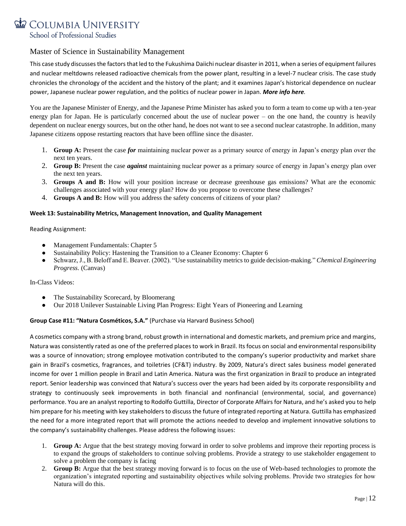

This case study discusses the factors that led to the Fukushima Daiichi nuclear disaster in 2011, when a series of equipment failures and nuclear meltdowns released radioactive chemicals from the power plant, resulting in a level-7 nuclear crisis. The case study chronicles the chronology of the accident and the history of the plant; and it examines Japan's historical dependence on nuclear power, Japanese nuclear power regulation, and the politics of nuclear power in Japan. *More info [here](https://www.youtube.com/watch?v=Dqkvv1dyFAQ).*

You are the Japanese Minister of Energy, and the Japanese Prime Minister has asked you to form a team to come up with a ten-year energy plan for Japan. He is particularly concerned about the use of nuclear power – on the one hand, the country is heavily dependent on nuclear energy sources, but on the other hand, he does not want to see a second nuclear catastrophe. In addition, many Japanese citizens oppose restarting reactors that have been offline since the disaster.

- 1. **Group A:** Present the case *for* maintaining nuclear power as a primary source of energy in Japan's energy plan over the next ten years.
- 2. **Group B:** Present the case *against* maintaining nuclear power as a primary source of energy in Japan's energy plan over the next ten years.
- 3. **Groups A and B:** How will your position increase or decrease greenhouse gas emissions? What are the economic challenges associated with your energy plan? How do you propose to overcome these challenges?
- 4. **Groups A and B:** How will you address the safety concerns of citizens of your plan?

## **Week 13: Sustainability Metrics, Management Innovation, and Quality Management**

Reading Assignment:

- Management Fundamentals: Chapter 5
- Sustainability Policy: Hastening the Transition to a Cleaner Economy: Chapter 6
- Schwarz, J., B. Beloff and E. Beaver. (2002). ["Use sustainability metrics to guide decision-making.](http://people.clarkson.edu/~wwilcox/Design/sustain.pdf)" *[Chemical Engineering](http://www.allbusiness.com/chemical-engineering-progress/41643-1.html)  [Progress.](http://www.allbusiness.com/chemical-engineering-progress/41643-1.html)* (Canvas)

In-Class Videos:

- [The Sustainability Scorecard, by Bloomerang](https://www.youtube.com/watch?v=CORtC_GZlKk)
- [Our 2018 Unilever Sustainable Living Plan Progress: Eight Years of Pioneering and Learning](https://www.youtube.com/watch?v=7PmfqOd_zgQ)

## **Group Case #11: "Natura Cosméticos, S.A."** (Purchase via Harvard Business School)

A cosmetics company with a strong brand, robust growth in international and domestic markets, and premium price and margins, Natura was consistently rated as one of the preferred places to work in Brazil. Its focus on social and environmental responsibility was a source of innovation; strong employee motivation contributed to the company's superior productivity and market share gain in Brazil's cosmetics, fragrances, and toiletries (CF&T) industry. By 2009, Natura's direct sales business model generated income for over 1 million people in Brazil and Latin America. Natura was the first organization in Brazil to produce an integrated report. Senior leadership was convinced that Natura's success over the years had been aided by its corporate responsibility and strategy to continuously seek improvements in both financial and nonfinancial (environmental, social, and governance) performance. You are an analyst reporting to Rodolfo Guttilla, Director of Corporate Affairs for Natura, and he's asked you to help him prepare for his meeting with key stakeholders to discuss the future of integrated reporting at Natura. Guttilla has emphasized the need for a more integrated report that will promote the actions needed to develop and implement innovative solutions to the company's sustainability challenges. Please address the following issues:

- 1. **Group A:** Argue that the best strategy moving forward in order to solve problems and improve their reporting process is to expand the groups of stakeholders to continue solving problems. Provide a strategy to use stakeholder engagement to solve a problem the company is facing
- 2. **Group B:** Argue that the best strategy moving forward is to focus on the use of Web-based technologies to promote the organization's integrated reporting and sustainability objectives while solving problems. Provide two strategies for how Natura will do this.